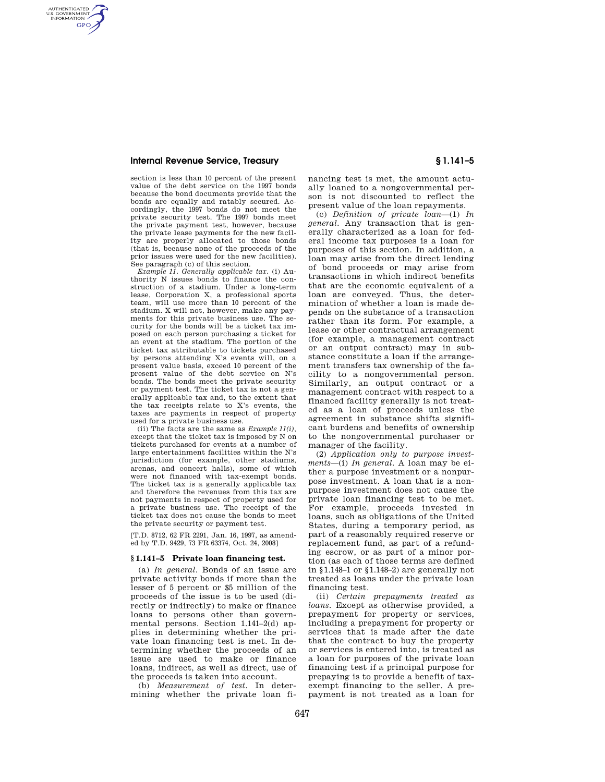## **Internal Revenue Service, Treasury § 1.141–5**

AUTHENTICATED<br>U.S. GOVERNMENT<br>INFORMATION **GPO** 

> section is less than 10 percent of the present value of the debt service on the 1997 bonds because the bond documents provide that the bonds are equally and ratably secured. Accordingly, the 1997 bonds do not meet the private security test. The 1997 bonds meet the private payment test, however, because the private lease payments for the new facility are properly allocated to those bonds (that is, because none of the proceeds of the prior issues were used for the new facilities). See paragraph (c) of this section.

> *Example 11. Generally applicable tax.* (i) Authority N issues bonds to finance the construction of a stadium. Under a long-term lease, Corporation X, a professional sports team, will use more than 10 percent of the stadium. X will not, however, make any payments for this private business use. The security for the bonds will be a ticket tax imposed on each person purchasing a ticket for an event at the stadium. The portion of the ticket tax attributable to tickets purchased by persons attending X's events will, on a present value basis, exceed 10 percent of the present value of the debt service on N's bonds. The bonds meet the private security or payment test. The ticket tax is not a generally applicable tax and, to the extent that the tax receipts relate to X's events, the taxes are payments in respect of property used for a private business use.

> (ii) The facts are the same as *Example 11(i),*  except that the ticket tax is imposed by N on tickets purchased for events at a number of large entertainment facilities within the N's jurisdiction (for example, other stadiums, arenas, and concert halls), some of which were not financed with tax-exempt bonds. The ticket tax is a generally applicable tax and therefore the revenues from this tax are not payments in respect of property used for a private business use. The receipt of the ticket tax does not cause the bonds to meet the private security or payment test.

[T.D. 8712, 62 FR 2291, Jan. 16, 1997, as amended by T.D. 9429, 73 FR 63374, Oct. 24, 2008]

## **§ 1.141–5 Private loan financing test.**

(a) *In general.* Bonds of an issue are private activity bonds if more than the lesser of 5 percent or \$5 million of the proceeds of the issue is to be used (directly or indirectly) to make or finance loans to persons other than governmental persons. Section 1.141–2(d) applies in determining whether the private loan financing test is met. In determining whether the proceeds of an issue are used to make or finance loans, indirect, as well as direct, use of the proceeds is taken into account.

(b) *Measurement of test.* In determining whether the private loan financing test is met, the amount actually loaned to a nongovernmental person is not discounted to reflect the present value of the loan repayments.

(c) *Definition of private loan*—(1) *In general.* Any transaction that is generally characterized as a loan for federal income tax purposes is a loan for purposes of this section. In addition, a loan may arise from the direct lending of bond proceeds or may arise from transactions in which indirect benefits that are the economic equivalent of a loan are conveyed. Thus, the determination of whether a loan is made depends on the substance of a transaction rather than its form. For example, a lease or other contractual arrangement (for example, a management contract or an output contract) may in substance constitute a loan if the arrangement transfers tax ownership of the facility to a nongovernmental person. Similarly, an output contract or a management contract with respect to a financed facility generally is not treated as a loan of proceeds unless the agreement in substance shifts significant burdens and benefits of ownership to the nongovernmental purchaser or manager of the facility.

(2) *Application only to purpose investments*—(i) *In general.* A loan may be either a purpose investment or a nonpurpose investment. A loan that is a nonpurpose investment does not cause the private loan financing test to be met. For example, proceeds invested in loans, such as obligations of the United States, during a temporary period, as part of a reasonably required reserve or replacement fund, as part of a refunding escrow, or as part of a minor portion (as each of those terms are defined in §1.148–1 or §1.148–2) are generally not treated as loans under the private loan financing test.

(ii) *Certain prepayments treated as loans.* Except as otherwise provided, a prepayment for property or services, including a prepayment for property or services that is made after the date that the contract to buy the property or services is entered into, is treated as a loan for purposes of the private loan financing test if a principal purpose for prepaying is to provide a benefit of taxexempt financing to the seller. A prepayment is not treated as a loan for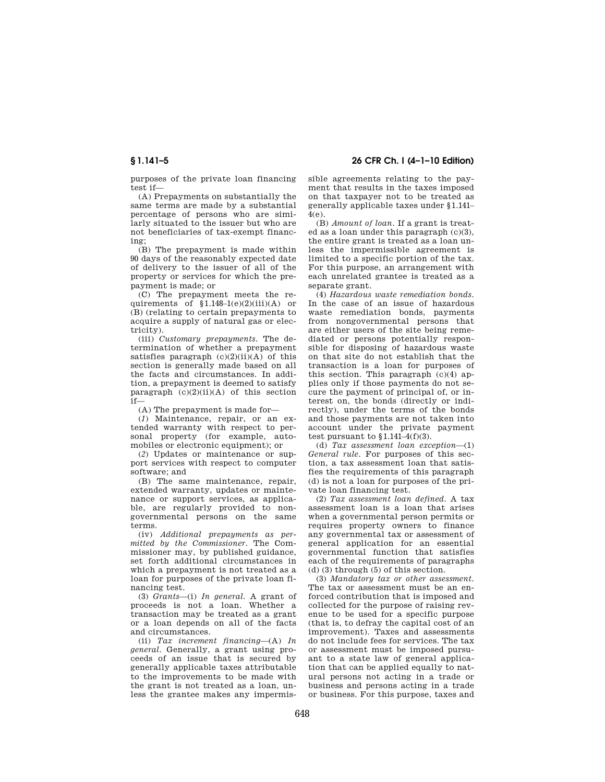**§ 1.141–5 26 CFR Ch. I (4–1–10 Edition)** 

purposes of the private loan financing test if—

(A) Prepayments on substantially the same terms are made by a substantial percentage of persons who are similarly situated to the issuer but who are not beneficiaries of tax-exempt financing:

(B) The prepayment is made within 90 days of the reasonably expected date of delivery to the issuer of all of the property or services for which the prepayment is made; or

(C) The prepayment meets the requirements of  $\hat{\S}1.148-1(e)(2)(iii)(A)$  or (B) (relating to certain prepayments to acquire a supply of natural gas or electricity).

(iii) *Customary prepayments.* The determination of whether a prepayment satisfies paragraph  $(c)(2)(ii)(A)$  of this section is generally made based on all the facts and circumstances. In addition, a prepayment is deemed to satisfy paragraph  $(c)(2)(ii)(A)$  of this section if—

(A) The prepayment is made for—

(*1*) Maintenance, repair, or an extended warranty with respect to personal property (for example, automobiles or electronic equipment); or

(*2*) Updates or maintenance or support services with respect to computer software; and

(B) The same maintenance, repair, extended warranty, updates or maintenance or support services, as applicable, are regularly provided to nongovernmental persons on the same terms.

(iv) *Additional prepayments as permitted by the Commissioner.* The Commissioner may, by published guidance, set forth additional circumstances in which a prepayment is not treated as a loan for purposes of the private loan financing test.

(3) *Grants*—(i) *In general.* A grant of proceeds is not a loan. Whether a transaction may be treated as a grant or a loan depends on all of the facts and circumstances.

(ii) *Tax increment financing*—(A) *In general.* Generally, a grant using proceeds of an issue that is secured by generally applicable taxes attributable to the improvements to be made with the grant is not treated as a loan, unless the grantee makes any impermissible agreements relating to the payment that results in the taxes imposed on that taxpayer not to be treated as generally applicable taxes under §1.141– 4(e).

(B) *Amount of loan.* If a grant is treated as a loan under this paragraph (c)(3), the entire grant is treated as a loan unless the impermissible agreement is limited to a specific portion of the tax. For this purpose, an arrangement with each unrelated grantee is treated as a separate grant.

(4) *Hazardous waste remediation bonds.*  In the case of an issue of hazardous waste remediation bonds, payments from nongovernmental persons that are either users of the site being remediated or persons potentially responsible for disposing of hazardous waste on that site do not establish that the transaction is a loan for purposes of this section. This paragraph (c)(4) applies only if those payments do not secure the payment of principal of, or interest on, the bonds (directly or indirectly), under the terms of the bonds and those payments are not taken into account under the private payment test pursuant to  $$1.141-4(f)(3)$ .

(d) *Tax assessment loan exception*—(1) *General rule.* For purposes of this section, a tax assessment loan that satisfies the requirements of this paragraph (d) is not a loan for purposes of the private loan financing test.

(2) *Tax assessment loan defined.* A tax assessment loan is a loan that arises when a governmental person permits or requires property owners to finance any governmental tax or assessment of general application for an essential governmental function that satisfies each of the requirements of paragraphs (d) (3) through (5) of this section.

(3) *Mandatory tax or other assessment.*  The tax or assessment must be an enforced contribution that is imposed and collected for the purpose of raising revenue to be used for a specific purpose (that is, to defray the capital cost of an improvement). Taxes and assessments do not include fees for services. The tax or assessment must be imposed pursuant to a state law of general application that can be applied equally to natural persons not acting in a trade or business and persons acting in a trade or business. For this purpose, taxes and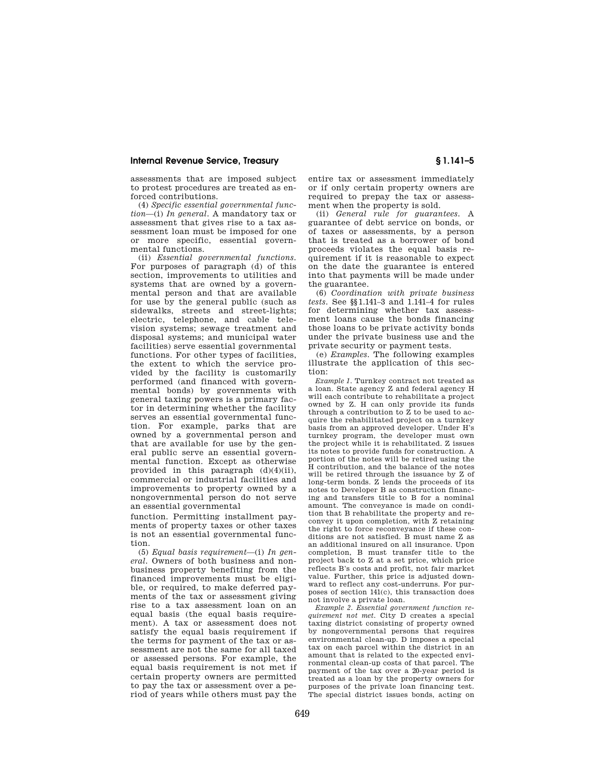### **Internal Revenue Service, Treasury § 1.141–5**

assessments that are imposed subject to protest procedures are treated as enforced contributions.

(4) *Specific essential governmental function*—(i) *In general.* A mandatory tax or assessment that gives rise to a tax assessment loan must be imposed for one or more specific, essential governmental functions.

(ii) *Essential governmental functions.*  For purposes of paragraph (d) of this section, improvements to utilities and systems that are owned by a governmental person and that are available for use by the general public (such as sidewalks, streets and street-lights; electric, telephone, and cable television systems; sewage treatment and disposal systems; and municipal water facilities) serve essential governmental functions. For other types of facilities, the extent to which the service provided by the facility is customarily performed (and financed with governmental bonds) by governments with general taxing powers is a primary factor in determining whether the facility serves an essential governmental function. For example, parks that are owned by a governmental person and that are available for use by the general public serve an essential governmental function. Except as otherwise provided in this paragraph (d)(4)(ii), commercial or industrial facilities and improvements to property owned by a nongovernmental person do not serve an essential governmental

function. Permitting installment payments of property taxes or other taxes is not an essential governmental function.

(5) *Equal basis requirement*—(i) *In general.* Owners of both business and nonbusiness property benefiting from the financed improvements must be eligible, or required, to make deferred payments of the tax or assessment giving rise to a tax assessment loan on an equal basis (the equal basis requirement). A tax or assessment does not satisfy the equal basis requirement if the terms for payment of the tax or assessment are not the same for all taxed or assessed persons. For example, the equal basis requirement is not met if certain property owners are permitted to pay the tax or assessment over a period of years while others must pay the

entire tax or assessment immediately or if only certain property owners are required to prepay the tax or assessment when the property is sold.

(ii) *General rule for guarantees.* A guarantee of debt service on bonds, or of taxes or assessments, by a person that is treated as a borrower of bond proceeds violates the equal basis requirement if it is reasonable to expect on the date the guarantee is entered into that payments will be made under the guarantee.

(6) *Coordination with private business tests.* See §§1.141–3 and 1.141–4 for rules for determining whether tax assessment loans cause the bonds financing those loans to be private activity bonds under the private business use and the private security or payment tests.

(e) *Examples.* The following examples illustrate the application of this section:

*Example 1.* Turnkey contract not treated as a loan. State agency Z and federal agency H will each contribute to rehabilitate a project owned by Z. H can only provide its funds through a contribution to  $Z$  to be used to acquire the rehabilitated project on a turnkey basis from an approved developer. Under H's turnkey program, the developer must own the project while it is rehabilitated. Z issues its notes to provide funds for construction. A portion of the notes will be retired using the H contribution, and the balance of the notes will be retired through the issuance by Z of long-term bonds. Z lends the proceeds of its notes to Developer B as construction financing and transfers title to B for a nominal amount. The conveyance is made on condition that B rehabilitate the property and reconvey it upon completion, with Z retaining the right to force reconveyance if these conditions are not satisfied. B must name Z as an additional insured on all insurance. Upon completion, B must transfer title to the project back to Z at a set price, which price reflects B's costs and profit, not fair market value. Further, this price is adjusted downward to reflect any cost-underruns. For purposes of section 141(c), this transaction does not involve a private loan.

*Example 2. Essential government function requirement not met.* City D creates a special taxing district consisting of property owned by nongovernmental persons that requires environmental clean-up. D imposes a special tax on each parcel within the district in an amount that is related to the expected environmental clean-up costs of that parcel. The payment of the tax over a 20-year period is treated as a loan by the property owners for purposes of the private loan financing test. The special district issues bonds, acting on